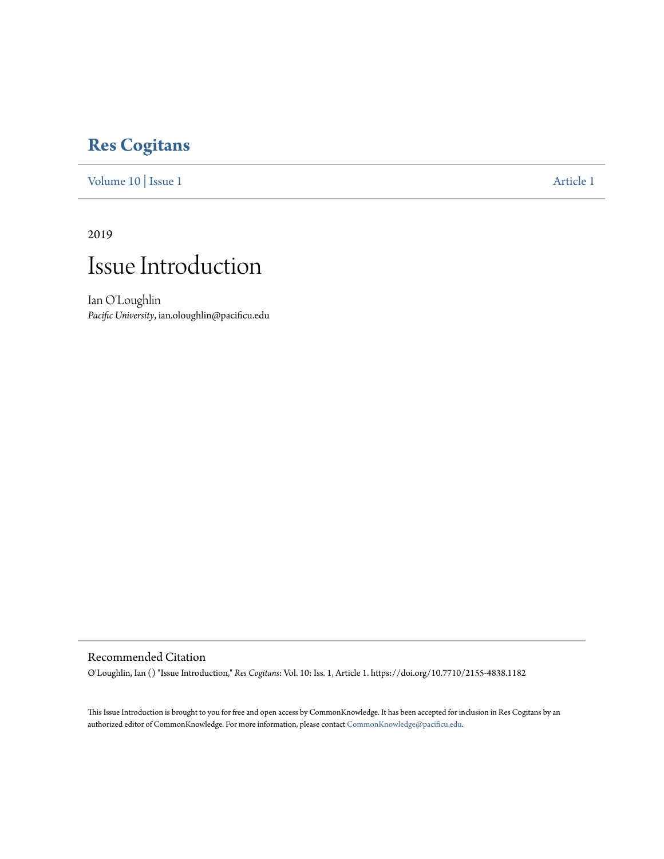### **[Res Cogitans](https://commons.pacificu.edu/rescogitans?utm_source=commons.pacificu.edu%2Frescogitans%2Fvol10%2Fiss1%2F1&utm_medium=PDF&utm_campaign=PDFCoverPages)**

[Volume 10](https://commons.pacificu.edu/rescogitans/vol10?utm_source=commons.pacificu.edu%2Frescogitans%2Fvol10%2Fiss1%2F1&utm_medium=PDF&utm_campaign=PDFCoverPages) | [Issue 1](https://commons.pacificu.edu/rescogitans/vol10/iss1?utm_source=commons.pacificu.edu%2Frescogitans%2Fvol10%2Fiss1%2F1&utm_medium=PDF&utm_campaign=PDFCoverPages) [Article 1](https://commons.pacificu.edu/rescogitans/vol10/iss1/1?utm_source=commons.pacificu.edu%2Frescogitans%2Fvol10%2Fiss1%2F1&utm_medium=PDF&utm_campaign=PDFCoverPages)

2019

## Issue Introduction

Ian O'Loughlin *Pacific University*, ian.oloughlin@pacificu.edu

#### Recommended Citation

O'Loughlin, Ian () "Issue Introduction," *Res Cogitans*: Vol. 10: Iss. 1, Article 1. https://doi.org/10.7710/2155-4838.1182

This Issue Introduction is brought to you for free and open access by CommonKnowledge. It has been accepted for inclusion in Res Cogitans by an authorized editor of CommonKnowledge. For more information, please contact [CommonKnowledge@pacificu.edu](mailto:CommonKnowledge@pacificu.edu).